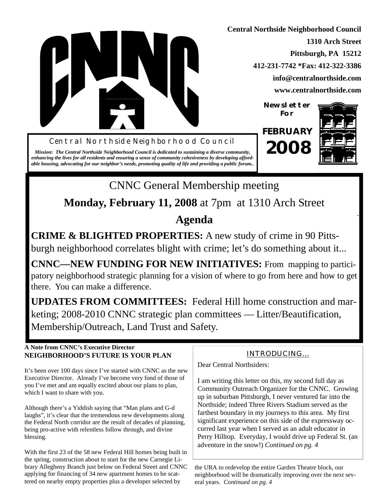

**Central Northside Neighborhood Council 1310 Arch Street Pittsburgh, PA 15212 412-231-7742 \*Fax: 412-322-3386 info@centralnorthside.com www.centralnorthside.com**

> **Newsletter For**

Central Northside Neighborhood Council **FEBRUARY 2008**

*Mission: The Central Northside Neighborhood Council is dedicated to sustaining a diverse community, enhancing the lives for all residents and ensuring a sense of community cohesiveness by developing affordable housing, advocating for our neighbor's needs, promoting quality of life and providing a public forum..*



CNNC General Membership meeting **Monday, February 11, 2008** at 7pm at 1310 Arch Street **Agenda**

**CRIME & BLIGHTED PROPERTIES:** A new study of crime in 90 Pittsburgh neighborhood correlates blight with crime; let's do something about it...

**CNNC—NEW FUNDING FOR NEW INITIATIVES:** From mapping to participatory neighborhood strategic planning for a vision of where to go from here and how to get there. You can make a difference.

**UPDATES FROM COMMITTEES:** Federal Hill home construction and marketing; 2008-2010 CNNC strategic plan committees — Litter/Beautification, Membership/Outreach, Land Trust and Safety.

### **A Note from CNNC's Executive Director NEIGHBORHOOD'S FUTURE IS YOUR PLAN**

It's been over 100 days since I've started with CNNC as the new Executive Director. Already I've become very fond of those of you I've met and am equally excited about our plans to plan, which I want to share with you.

Although there's a Yiddish saying that "Man plans and G-d laughs", it's clear that the tremendous new developments along the Federal North corridor are the result of decades of planning, being pro-active with relentless follow through, and divine blessing.

With the first 23 of the 58 new Federal Hill homes being built in the spring, construction about to start for the new Carnegie Library Allegheny Branch just below on Federal Street and CNNC applying for financing of 34 new apartment homes to be scattered on nearby empty properties plus a developer selected by

## INTRODUCING...

Dear Central Northsiders:

I am writing this letter on this, my second full day as Community Outreach Organizer for the CNNC. Growing up in suburban Pittsburgh, I never ventured far into the Northside; indeed Three Rivers Stadium served as the farthest boundary in my journeys to this area. My first significant experience on this side of the expressway occurred last year when I served as an adult educator in Perry Hilltop. Everyday, I would drive up Federal St. (an adventure in the snow!) *Continued on pg. 4*

the URA to redevelop the entire Garden Theatre block, our neighborhood will be dramatically improving over the next several years. *Continued on pg. 4*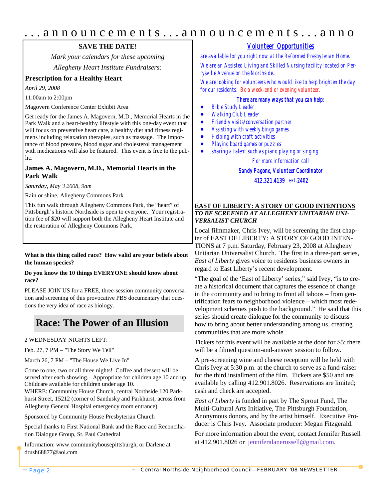## . . . a n n o u n c e m e n t s . . . a n n o u n c e m e n t s . . . a n n o

### **SAVE THE DATE!**

*Mark your calendars for these upcoming Allegheny Heart Institute Fundraisers:*

### **Prescription for a Healthy Heart**

*April 29, 2008*

11:00am to 2:00pm

Magovern Conference Center Exhibit Area

Get ready for the James A. Magovern, M.D., Memorial Hearts in the Park Walk and a heart-healthy lifestyle with this one-day event that will focus on preventive heart care, a healthy diet and fitness regimens including relaxation therapies, such as massage. The importance of blood pressure, blood sugar and cholesterol management with medications will also be featured. This event is free to the public.

### **James A. Magovern, M.D., Memorial Hearts in the Park Walk**

*Saturday, May 3 2008, 9am*

Rain or shine, Allegheny Commons Park

This fun walk through Allegheny Commons Park, the "heart" of Pittsburgh's historic Northside is open to everyone. Your registration fee of \$20 will support both the Allegheny Heart Institute and the restoration of Allegheny Commons Park.

### **What is this thing called race? How valid are your beliefs about the human species?**

### **Do you know the 10 things EVERYONE should know about race?**

PLEASE JOIN US for a FREE, three-session community conversation and screening of this provocative PBS documentary that questions the very idea of race as biology.

## **Race: The Power of an Illusion**

2 WEDNESDAY NIGHTS LEFT:

Feb. 27, 7 PM – "The Story We Tell"

March 26, 7 PM – "The House We Live In"

Come to one, two or all three nights! Coffee and dessert will be served after each showing. Appropriate for children age 10 and up. Childcare available for children under age 10.

WHERE: Community House Church, central Northside 120 Parkhurst Street, 15212 (corner of Sandusky and Parkhurst, across from Allegheny General Hospital emergency room entrance)

Sponsored by Community House Presbyterian Church

Special thanks to First National Bank and the Race and Reconciliation Dialogue Group, St. Paul Cathedral

Information: www.communityhousepittsburgh, or Darlene at drush68877@aol.com

### *Volunteer Opportunities*

*are available for you right now at the Reformed Presbyterian Home. We are an Assisted Living and Skilled Nursing facility located on Perrysville Avenue on the Northside..*

*We are looking for volunteers who would like to help brighten the day for our residents. Be a week-end or evening volunteer.*

### *There are many ways that you can help:*

- *Bible Study Leader*
- *Walking Club Leader*
- *Friendly visits/conversation partner*
- *Assisting with weekly bingo games*
- *Helping with craft activities*
- *Playing board games or puzzles*
- *sharing a talent such as piano playing or singing*

*For more information call* 

### *Sandy Pagone, Volunteer Coordinator*

*412.321.4139 ext.2402*

### **EAST OF LIBERTY: A STORY OF GOOD INTENTIONS** *TO BE SCREENED AT ALLEGHENY UNITARIAN UNI-VERSALIST CHURCH*

Local filmmaker, Chris Ivey, will be screening the first chapter of EAST OF LIBERTY: A STORY OF GOOD INTEN-TIONS at 7 p.m. Saturday, February 23, 2008 at Allegheny Unitarian Universalist Church. The first in a three-part series, *East of Liberty* gives voice to residents business owners in regard to East Liberty's recent development.

"The goal of the 'East of Liberty' series," said Ivey, "is to create a historical document that captures the essence of change in the community and to bring to front all taboos – from gentrification fears to neighborhood violence – which most redevelopment schemes push to the background." He said that this series should create dialogue for the community to discuss how to bring about better understanding among us, creating communities that are more whole.

Tickets for this event will be available at the door for \$5; there will be a filmed question-and-answer session to follow.

A pre-screening wine and cheese reception will be held with Chris Ivey at 5:30 p.m. at the church to serve as a fund-raiser for the third installment of the film. Tickets are \$50 and are available by calling 412.901.8026. Reservations are limited; cash and check are accepted.

*East of Liberty* is funded in part by The Sprout Fund, The Multi-Cultural Arts Initiative, The Pittsburgh Foundation, Anonymous donors, and by the artist himself. Executive Producer is Chris Ivey. Associate producer: Megan Fitzgerald.

For more information about the event, contact Jennifer Russell at 412.901.8026 or jenniferalanerussell@gmail.com.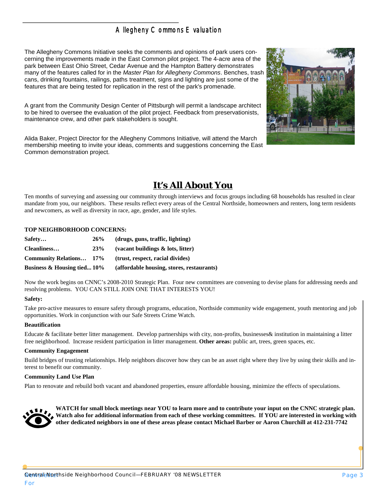## Allegheny Commons Evaluation

The Allegheny Commons Initiative seeks the comments and opinions of park users concerning the improvements made in the East Common pilot project. The 4-acre area of the park between East Ohio Street, Cedar Avenue and the Hampton Battery demonstrates many of the features called for in the *Master Plan for Allegheny Commons*. Benches, trash cans, drinking fountains, railings, paths treatment, signs and lighting are just some of the features that are being tested for replication in the rest of the park's promenade.

A grant from the Community Design Center of Pittsburgh will permit a landscape architect to be hired to oversee the evaluation of the pilot project. Feedback from preservationists, maintenance crew, and other park stakeholders is sought.

Alida Baker, Project Director for the Allegheny Commons Initiative, will attend the March membership meeting to invite your ideas, comments and suggestions concerning the East Common demonstration project.



## **It's All About You**

Ten months of surveying and assessing our community through interviews and focus groups including 68 households has resulted in clear mandate from you, our neighbors. These results reflect every areas of the Central Northside, homeowners and renters, long term residents and newcomers, as well as diversity in race, age, gender, and life styles.

### **TOP NEIGHBORHOOD CONCERNS:**

| Safety                         | 26%        | (drugs, guns, traffic, lighting)          |  |  |
|--------------------------------|------------|-------------------------------------------|--|--|
| Cleanliness                    | <b>23%</b> | (vacant buildings $\&$ lots, litter)      |  |  |
| <b>Community Relations</b> 17% |            | (trust, respect, racial divides)          |  |  |
| Business $\&$ Housing tied 10% |            | (affordable housing, stores, restaurants) |  |  |

Now the work begins on CNNC's 2008-2010 Strategic Plan. Four new committees are convening to devise plans for addressing needs and resolving problems. YOU CAN STILL JOIN ONE THAT INTERESTS YOU!

### **Safety:**

Take pro-active measures to ensure safety through programs, education, Northside community wide engagement, youth mentoring and job opportunities. Work in conjunction with our Safe Streets Crime Watch.

#### **Beautification**

Educate & facilitate better litter management. Develop partnerships with city, non-profits, businesses& institution in maintaining a litter free neighborhood. Increase resident participation in litter management. **Other areas:** public art, trees, green spaces, etc.

#### **Community Engagement**

Build bridges of trusting relationships. Help neighbors discover how they can be an asset right where they live by using their skills and interest to benefit our community.

### **Community Land Use Plan**

Plan to renovate and rebuild both vacant and abandoned properties, ensure affordable housing, minimize the effects of speculations.



**WATCH for small block meetings near YOU to learn more and to contribute your input on the CNNC strategic plan. Watch also for additional information from each of these working committees. If YOU are interested in working with other dedicated neighbors in one of these areas please contact Michael Barber or Aaron Churchill at 412-231-7742**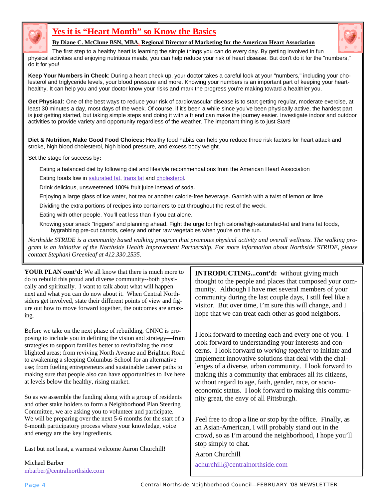

## **Yes it is "Heart Month" so Know the Basics**



**By Diane C. McClune BSN, MBA, Regional Director of Marketing for the American Heart Association**

The first step to a healthy heart is learning the simple things you can do every day. By getting involved in fun physical activities and enjoying nutritious meals, you can help reduce your risk of heart disease. But don't do it for the "numbers," do it for you!

**Keep Your Numbers in Check**: During a heart check up, your doctor takes a careful look at your "numbers," including your cholesterol and triglyceride levels, your blood pressure and more. Knowing your numbers is an important part of keeping your hearthealthy. It can help you and your doctor know your risks and mark the progress you're making toward a healthier you.

**Get Physical**: One of the best ways to reduce your risk of cardiovascular disease is to start getting regular, moderate exercise, at least 30 minutes a day, most days of the week. Of course, if it's been a while since you've been physically active, the hardest part is just getting started, but taking simple steps and doing it with a friend can make the journey easier. Investigate indoor and outdoor activities to provide variety and opportunity regardless of the weather. The important thing is to just Start!

**Diet & Nutrition, Make Good Food Choices:** Healthy food habits can help you reduce three risk factors for heart attack and stroke, high blood cholesterol, high blood pressure, and excess body weight.

Set the stage for success by**:**

Eating a balanced diet by following diet and lifestyle recommendations from the American Heart Association Eating foods low in saturated fat, trans fat and cholesterol.

Drink delicious, unsweetened 100% fruit juice instead of soda.

Enjoying a large glass of ice water, hot tea or another calorie-free beverage. Garnish with a twist of lemon or lime

Dividing the extra portions of recipes into containers to eat throughout the rest of the week.

Eating with other people. You'll eat less than if you eat alone.

Knowing your snack "triggers" and planning ahead. Fight the urge for high calorie/high-saturated-fat and trans fat foods, bygrabbing pre-cut carrots, celery and other raw vegetables when you're on the run.

*Northside STRIDE is a community based walking program that promotes physical activity and overall wellness. The walking program is an initiative of the Northside Health Improvement Partnership. For more information about Northside STRIDE, please contact Stephani Greenleaf at 412.330.2535.*

**YOUR PLAN cont'd:** We all know that there is much more to do to rebuild this proud and diverse community--both physically and spiritually. I want to talk about what will happen next and what you can do now about it. When Central Northsiders get involved, state their different points of view and figure out how to move forward together, the outcomes are amazing.

Before we take on the next phase of rebuilding, CNNC is proposing to include you in defining the vision and strategy—from strategies to support families better to revitalizing the most blighted areas; from reviving North Avenue and Brighton Road to awakening a sleeping Columbus School for an alternative use; from fueling entrepreneurs and sustainable career paths to making sure that people also can have opportunities to live here at levels below the healthy, rising market.

So as we assemble the funding along with a group of residents and other stake holders to form a Neighborhood Plan Steering Committee, we are asking you to volunteer and participate. We will be preparing over the next 5-6 months for the start of a 6-month participatory process where your knowledge, voice and energy are the key ingredients.

Last but not least, a warmest welcome Aaron Churchill!

Michael Barber mbarber@centralnorthside.com **INTRODUCTING...cont'd:** without giving much thought to the people and places that composed your community. Although I have met several members of your community during the last couple days, I still feel like a visitor. But over time, I'm sure this will change, and I hope that we can treat each other as good neighbors.

I look forward to meeting each and every one of you. I look forward to understanding your interests and concerns. I look forward to *working together* to initiate and implement innovative solutions that deal with the challenges of a diverse, urban community. I look forward to making this a community that embraces all its citizens, without regard to age, faith, gender, race, or socioeconomic status. I look forward to making this community great, the envy of all Pittsburgh.

Feel free to drop a line or stop by the office. Finally, as an Asian-American, I will probably stand out in the crowd, so as I'm around the neighborhood, I hope you'll stop simply to chat.

Aaron Churchill achurchill@centralnorthside.com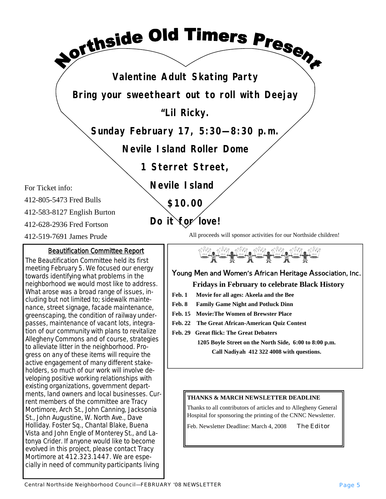**Valentine Adult Skating Party**

**sorthside Old Timers Present** 

**Bring your sweetheart out to roll with Deejay** 

**"Lil Ricky.**

**Sunday February 17, 5:30—8:30 p.m.**

**Nevile Island Roller Dome**

**1 Sterret Street,** 

 **Nevile Island**

 **\$10.00**

 **Do it for love!**

For Ticket info:

412-805-5473 Fred Bulls

412-583-8127 English Burton

412-628-2936 Fred Fortson

412-519-7691 James Prude

### Beautification Committee Report

The Beautification Committee held its first meeting February 5. We focused our energy towards identifying what problems in the neighborhood we would most like to address. What arose was a broad range of issues, including but not limited to; sidewalk maintenance, street signage, facade maintenance, greenscaping, the condition of railway underpasses, maintenance of vacant lots, integration of our community with plans to revitalize Allegheny Commons and of course, strategies to alleviate litter in the neighborhood. Progress on any of these items will require the active engagement of many different stakeholders, so much of our work will involve developing positive working relationships with existing organizations, government departments, land owners and local businesses. Current members of the committee are Tracy Mortimore, Arch St., John Canning, Jacksonia St., John Augustine, W. North Ave., Dave Holliday. Foster Sq., Chantal Blake, Buena Vista and John Engle of Monterey St., and Latonya Crider. *If anyone would like to become evolved in this project, please contact Tracy Mortimore at 412.323.1447. We are especially in need of community participants living* 

All proceeds will sponsor activities for our Northside children!



### **Young Men and Women's African Heritage Association, Inc.**

### **Fridays in February to celebrate Black History**

- **Feb. 1 Movie for all ages: Akeela and the Bee**
- **Feb. 8 Family Game Night and Potluck Dinn**
- **Feb. 15 Movie:The Women of Brewster Place**
- **Feb. 22 The Great African-American Quiz Contest**
- **Feb. 29 Great flick: The Great Debaters**

**1205 Boyle Street on the North Side, 6:00 to 8:00 p.m. Call Nadiyah 412 322 4008 with questions.**

### **THANKS & MARCH NEWSLETTER DEADLINE**

Thanks to all contributors of articles and to Allegheny General Hospital for sponsoring the printing of the CNNC Newsletter.

Feb. Newsletter Deadline: March 4, 2008 *The Editor*